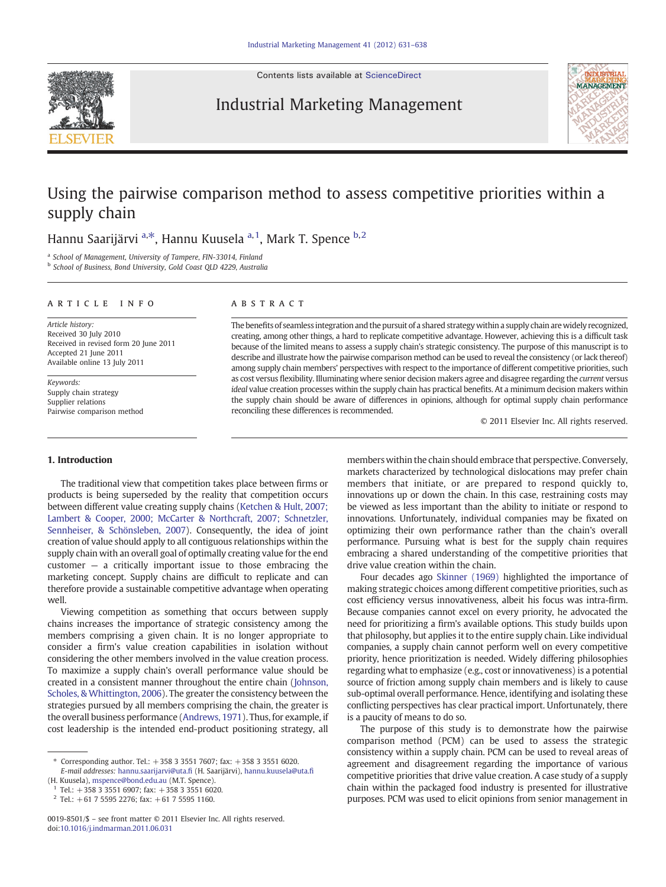Contents lists available at [ScienceDirect](http://www.sciencedirect.com/science/journal/00198501)





## Using the pairwise comparison method to assess competitive priorities within a supply chain

Hannu Saarijärvi <sup>a,\*</sup>, Hannu Kuusela <sup>a, 1</sup>, Mark T. Spence <sup>b, 2</sup>

<sup>a</sup> School of Management, University of Tampere, FIN-33014, Finland

<sup>b</sup> School of Business, Bond University, Gold Coast QLD 4229, Australia

#### article info abstract

Article history: Received 30 July 2010 Received in revised form 20 June 2011 Accepted 21 June 2011 Available online 13 July 2011

Keywords: Supply chain strategy Supplier relations Pairwise comparison method

The benefits of seamless integration and the pursuit of a shared strategy within a supply chain are widely recognized, creating, among other things, a hard to replicate competitive advantage. However, achieving this is a difficult task because of the limited means to assess a supply chain's strategic consistency. The purpose of this manuscript is to describe and illustrate how the pairwise comparison method can be used to reveal the consistency (or lack thereof) among supply chain members' perspectives with respect to the importance of different competitive priorities, such as cost versus flexibility. Illuminating where senior decision makers agree and disagree regarding the *current* versus ideal value creation processes within the supply chain has practical benefits. At a minimum decision makers within the supply chain should be aware of differences in opinions, although for optimal supply chain performance reconciling these differences is recommended.

© 2011 Elsevier Inc. All rights reserved.

### 1. Introduction

The traditional view that competition takes place between firms or products is being superseded by the reality that competition occurs between different value creating supply chains ([Ketchen & Hult, 2007;](#page--1-0) [Lambert & Cooper, 2000; McCarter & Northcraft, 2007; Schnetzler,](#page--1-0) [Sennheiser, & Schönsleben, 2007](#page--1-0)). Consequently, the idea of joint creation of value should apply to all contiguous relationships within the supply chain with an overall goal of optimally creating value for the end customer — a critically important issue to those embracing the marketing concept. Supply chains are difficult to replicate and can therefore provide a sustainable competitive advantage when operating well.

Viewing competition as something that occurs between supply chains increases the importance of strategic consistency among the members comprising a given chain. It is no longer appropriate to consider a firm's value creation capabilities in isolation without considering the other members involved in the value creation process. To maximize a supply chain's overall performance value should be created in a consistent manner throughout the entire chain [\(Johnson,](#page--1-0) [Scholes, & Whittington, 2006\)](#page--1-0). The greater the consistency between the strategies pursued by all members comprising the chain, the greater is the overall business performance ([Andrews, 1971\)](#page--1-0). Thus, for example, if cost leadership is the intended end-product positioning strategy, all

members within the chain should embrace that perspective. Conversely, markets characterized by technological dislocations may prefer chain members that initiate, or are prepared to respond quickly to, innovations up or down the chain. In this case, restraining costs may be viewed as less important than the ability to initiate or respond to innovations. Unfortunately, individual companies may be fixated on optimizing their own performance rather than the chain's overall performance. Pursuing what is best for the supply chain requires embracing a shared understanding of the competitive priorities that drive value creation within the chain.

Four decades ago [Skinner \(1969\)](#page--1-0) highlighted the importance of making strategic choices among different competitive priorities, such as cost efficiency versus innovativeness, albeit his focus was intra-firm. Because companies cannot excel on every priority, he advocated the need for prioritizing a firm's available options. This study builds upon that philosophy, but applies it to the entire supply chain. Like individual companies, a supply chain cannot perform well on every competitive priority, hence prioritization is needed. Widely differing philosophies regarding what to emphasize (e.g., cost or innovativeness) is a potential source of friction among supply chain members and is likely to cause sub-optimal overall performance. Hence, identifying and isolating these conflicting perspectives has clear practical import. Unfortunately, there is a paucity of means to do so.

The purpose of this study is to demonstrate how the pairwise comparison method (PCM) can be used to assess the strategic consistency within a supply chain. PCM can be used to reveal areas of agreement and disagreement regarding the importance of various competitive priorities that drive value creation. A case study of a supply chain within the packaged food industry is presented for illustrative purposes. PCM was used to elicit opinions from senior management in

<sup>⁎</sup> Corresponding author. Tel.: +358 3 3551 7607; fax: +358 3 3551 6020. E-mail addresses: [hannu.saarijarvi@uta.](mailto:hannu.saarijarvi@uta.fi)fi (H. Saarijärvi), [hannu.kuusela@uta.](mailto:hannu.kuusela@uta.fi)fi

<sup>(</sup>H. Kuusela), [mspence@bond.edu.au](mailto:mspence@bond.edu.au) (M.T. Spence). Tel.:  $+358$  3 3551 6907; fax:  $+358$  3 3551 6020.

 $2$  Tel.: +61 7 5595 2276; fax: +61 7 5595 1160.

<sup>0019-8501/\$</sup> – see front matter © 2011 Elsevier Inc. All rights reserved. doi:[10.1016/j.indmarman.2011.06.031](http://dx.doi.org/10.1016/j.indmarman.2011.06.031)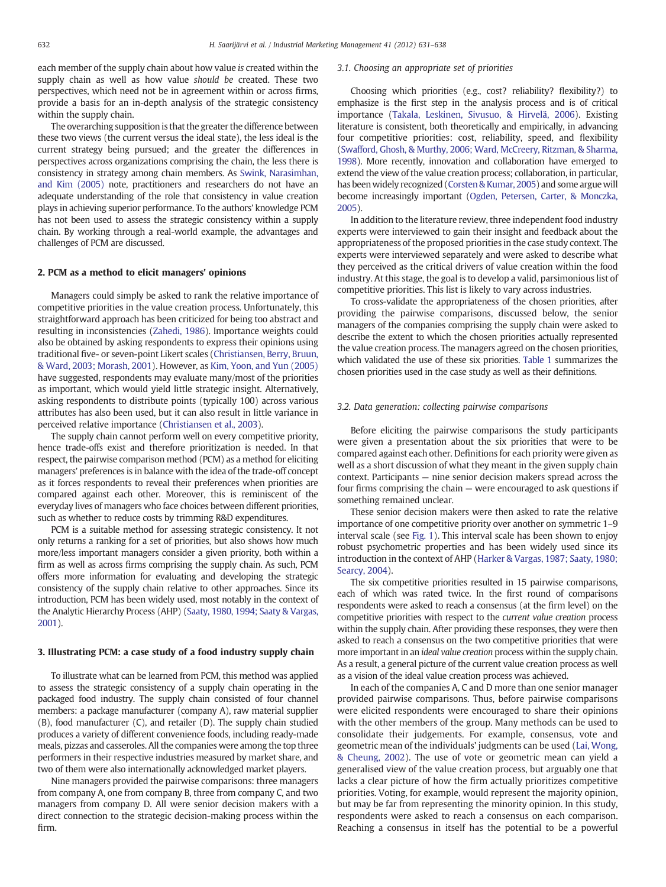each member of the supply chain about how value is created within the supply chain as well as how value should be created. These two perspectives, which need not be in agreement within or across firms, provide a basis for an in-depth analysis of the strategic consistency within the supply chain.

The overarching supposition is that the greater the difference between these two views (the current versus the ideal state), the less ideal is the current strategy being pursued; and the greater the differences in perspectives across organizations comprising the chain, the less there is consistency in strategy among chain members. As [Swink, Narasimhan,](#page--1-0) [and Kim \(2005\)](#page--1-0) note, practitioners and researchers do not have an adequate understanding of the role that consistency in value creation plays in achieving superior performance. To the authors' knowledge PCM has not been used to assess the strategic consistency within a supply chain. By working through a real-world example, the advantages and challenges of PCM are discussed.

### 2. PCM as a method to elicit managers' opinions

Managers could simply be asked to rank the relative importance of competitive priorities in the value creation process. Unfortunately, this straightforward approach has been criticized for being too abstract and resulting in inconsistencies [\(Zahedi, 1986](#page--1-0)). Importance weights could also be obtained by asking respondents to express their opinions using traditional five- or seven-point Likert scales [\(Christiansen, Berry, Bruun,](#page--1-0) [& Ward, 2003; Morash, 2001\)](#page--1-0). However, as [Kim, Yoon, and Yun \(2005\)](#page--1-0) have suggested, respondents may evaluate many/most of the priorities as important, which would yield little strategic insight. Alternatively, asking respondents to distribute points (typically 100) across various attributes has also been used, but it can also result in little variance in perceived relative importance ([Christiansen et al., 2003\)](#page--1-0).

The supply chain cannot perform well on every competitive priority, hence trade-offs exist and therefore prioritization is needed. In that respect, the pairwise comparison method (PCM) as a method for eliciting managers' preferences is in balance with the idea of the trade-off concept as it forces respondents to reveal their preferences when priorities are compared against each other. Moreover, this is reminiscent of the everyday lives of managers who face choices between different priorities, such as whether to reduce costs by trimming R&D expenditures.

PCM is a suitable method for assessing strategic consistency. It not only returns a ranking for a set of priorities, but also shows how much more/less important managers consider a given priority, both within a firm as well as across firms comprising the supply chain. As such, PCM offers more information for evaluating and developing the strategic consistency of the supply chain relative to other approaches. Since its introduction, PCM has been widely used, most notably in the context of the Analytic Hierarchy Process (AHP) [\(Saaty, 1980, 1994; Saaty & Vargas,](#page--1-0) [2001](#page--1-0)).

#### 3. Illustrating PCM: a case study of a food industry supply chain

To illustrate what can be learned from PCM, this method was applied to assess the strategic consistency of a supply chain operating in the packaged food industry. The supply chain consisted of four channel members: a package manufacturer (company A), raw material supplier (B), food manufacturer (C), and retailer (D). The supply chain studied produces a variety of different convenience foods, including ready-made meals, pizzas and casseroles. All the companies were among the top three performers in their respective industries measured by market share, and two of them were also internationally acknowledged market players.

Nine managers provided the pairwise comparisons: three managers from company A, one from company B, three from company C, and two managers from company D. All were senior decision makers with a direct connection to the strategic decision-making process within the firm.

#### 3.1. Choosing an appropriate set of priorities

Choosing which priorities (e.g., cost? reliability? flexibility?) to emphasize is the first step in the analysis process and is of critical importance [\(Takala, Leskinen, Sivusuo, & Hirvelä, 2006](#page--1-0)). Existing literature is consistent, both theoretically and empirically, in advancing four competitive priorities: cost, reliability, speed, and flexibility [\(Swafford, Ghosh, & Murthy, 2006; Ward, McCreery, Ritzman, & Sharma,](#page--1-0) [1998](#page--1-0)). More recently, innovation and collaboration have emerged to extend the view of the value creation process; collaboration, in particular, has been widely recognized [\(Corsten & Kumar, 2005](#page--1-0)) and some argue will become increasingly important [\(Ogden, Petersen, Carter, & Monczka,](#page--1-0) [2005](#page--1-0)).

In addition to the literature review, three independent food industry experts were interviewed to gain their insight and feedback about the appropriateness of the proposed priorities in the case study context. The experts were interviewed separately and were asked to describe what they perceived as the critical drivers of value creation within the food industry. At this stage, the goal is to develop a valid, parsimonious list of competitive priorities. This list is likely to vary across industries.

To cross-validate the appropriateness of the chosen priorities, after providing the pairwise comparisons, discussed below, the senior managers of the companies comprising the supply chain were asked to describe the extent to which the chosen priorities actually represented the value creation process. The managers agreed on the chosen priorities, which validated the use of these six priorities. [Table 1](#page--1-0) summarizes the chosen priorities used in the case study as well as their definitions.

#### 3.2. Data generation: collecting pairwise comparisons

Before eliciting the pairwise comparisons the study participants were given a presentation about the six priorities that were to be compared against each other. Definitions for each priority were given as well as a short discussion of what they meant in the given supply chain context. Participants — nine senior decision makers spread across the four firms comprising the chain — were encouraged to ask questions if something remained unclear.

These senior decision makers were then asked to rate the relative importance of one competitive priority over another on symmetric 1–9 interval scale (see [Fig. 1\)](#page--1-0). This interval scale has been shown to enjoy robust psychometric properties and has been widely used since its introduction in the context of AHP [\(Harker & Vargas, 1987; Saaty, 1980;](#page--1-0) [Searcy, 2004\)](#page--1-0).

The six competitive priorities resulted in 15 pairwise comparisons, each of which was rated twice. In the first round of comparisons respondents were asked to reach a consensus (at the firm level) on the competitive priorities with respect to the current value creation process within the supply chain. After providing these responses, they were then asked to reach a consensus on the two competitive priorities that were more important in an ideal value creation process within the supply chain. As a result, a general picture of the current value creation process as well as a vision of the ideal value creation process was achieved.

In each of the companies A, C and D more than one senior manager provided pairwise comparisons. Thus, before pairwise comparisons were elicited respondents were encouraged to share their opinions with the other members of the group. Many methods can be used to consolidate their judgements. For example, consensus, vote and geometric mean of the individuals' judgments can be used [\(Lai, Wong,](#page--1-0) [& Cheung, 2002](#page--1-0)). The use of vote or geometric mean can yield a generalised view of the value creation process, but arguably one that lacks a clear picture of how the firm actually prioritizes competitive priorities. Voting, for example, would represent the majority opinion, but may be far from representing the minority opinion. In this study, respondents were asked to reach a consensus on each comparison. Reaching a consensus in itself has the potential to be a powerful